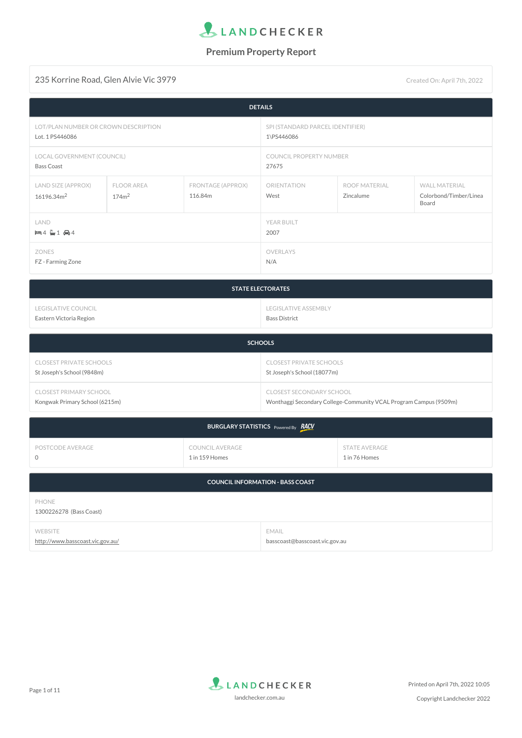

### 235 Korrine Road, Glen Alvie Vic 3979 Created On: April 7th, 2022

| <b>DETAILS</b>                               |                                        |                                  |                     |                                   |                                                         |
|----------------------------------------------|----------------------------------------|----------------------------------|---------------------|-----------------------------------|---------------------------------------------------------|
| LOT/PLAN NUMBER OR CROWN DESCRIPTION         |                                        | SPI (STANDARD PARCEL IDENTIFIER) |                     |                                   |                                                         |
| Lot. 1 PS446086                              |                                        | 1\PS446086                       |                     |                                   |                                                         |
| LOCAL GOVERNMENT (COUNCIL)                   |                                        | COUNCIL PROPERTY NUMBER          |                     |                                   |                                                         |
| <b>Bass Coast</b>                            |                                        | 27675                            |                     |                                   |                                                         |
| LAND SIZE (APPROX)<br>16196.34m <sup>2</sup> | <b>FLOOR AREA</b><br>174m <sup>2</sup> | FRONTAGE (APPROX)<br>116.84m     | ORIENTATION<br>West | <b>ROOF MATERIAL</b><br>Zincalume | <b>WALL MATERIAL</b><br>Colorbond/Timber/Linea<br>Board |
| LAND                                         |                                        |                                  | YEAR BUILT          |                                   |                                                         |
| $= 4 \div 1 \oplus 4$                        |                                        |                                  | 2007                |                                   |                                                         |
| ZONES                                        |                                        | OVERLAYS                         |                     |                                   |                                                         |
| FZ - Farming Zone                            |                                        | N/A                              |                     |                                   |                                                         |

| <b>STATE ELECTORATES</b> |                      |  |
|--------------------------|----------------------|--|
| LEGISLATIVE COUNCIL      | LEGISLATIVE ASSEMBLY |  |
| Eastern Victoria Region  | Bass District        |  |

| <b>SCHOOLS</b>                 |                                                                   |  |
|--------------------------------|-------------------------------------------------------------------|--|
| <b>CLOSEST PRIVATE SCHOOLS</b> | <b>CLOSEST PRIVATE SCHOOLS</b>                                    |  |
| St Joseph's School (9848m)     | St Joseph's School (18077m)                                       |  |
| <b>CLOSEST PRIMARY SCHOOL</b>  | <b>CLOSEST SECONDARY SCHOOL</b>                                   |  |
| Kongwak Primary School (6215m) | Wonthaggi Secondary College-Community VCAL Program Campus (9509m) |  |

| BURGLARY STATISTICS Powered By <b>RACV</b> |                                          |                                |  |
|--------------------------------------------|------------------------------------------|--------------------------------|--|
| POSTCODE AVERAGE                           | <b>COUNCIL AVERAGE</b><br>1 in 159 Homes | STATE AVERAGE<br>1 in 76 Homes |  |
| <b>COUNCIL INFORMATION - BASS COAST</b>    |                                          |                                |  |

| PHONE<br>1300226278 (Bass Coast) |                                |
|----------------------------------|--------------------------------|
| <b>WEBSITE</b>                   | EMAIL                          |
| http://www.basscoast.vic.gov.au/ | basscoast@basscoast.vic.gov.au |

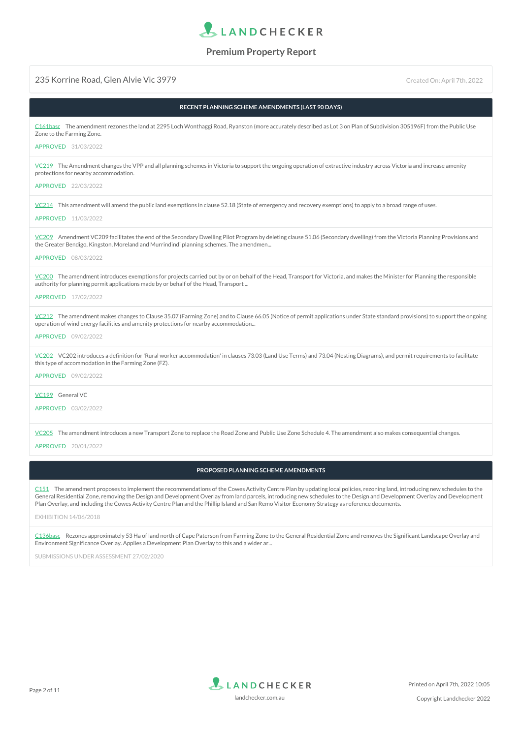

#### 235 Korrine Road, Glen Alvie Vic 3979 Created On: April 7th, 2022

| RECENT PLANNING SCHEME AMENDMENTS (LAST 90 DAYS)                                                                                                                                                                                                                                                                                                                                                                                                                                                          |
|-----------------------------------------------------------------------------------------------------------------------------------------------------------------------------------------------------------------------------------------------------------------------------------------------------------------------------------------------------------------------------------------------------------------------------------------------------------------------------------------------------------|
| C161basc The amendment rezones the land at 2295 Loch Wonthaggi Road, Ryanston (more accurately described as Lot 3 on Plan of Subdivision 305196F) from the Public Use<br>Zone to the Farming Zone.                                                                                                                                                                                                                                                                                                        |
| APPROVED 31/03/2022                                                                                                                                                                                                                                                                                                                                                                                                                                                                                       |
| VC219 The Amendment changes the VPP and all planning schemes in Victoria to support the ongoing operation of extractive industry across Victoria and increase amenity<br>protections for nearby accommodation.                                                                                                                                                                                                                                                                                            |
| APPROVED 22/03/2022                                                                                                                                                                                                                                                                                                                                                                                                                                                                                       |
| $VC214$ This amendment will amend the public land exemptions in clause 52.18 (State of emergency and recovery exemptions) to apply to a broad range of uses.<br>APPROVED 11/03/2022                                                                                                                                                                                                                                                                                                                       |
| VC209 Amendment VC209 facilitates the end of the Secondary Dwelling Pilot Program by deleting clause 51.06 (Secondary dwelling) from the Victoria Planning Provisions and<br>the Greater Bendigo, Kingston, Moreland and Murrindindi planning schemes. The amendmen                                                                                                                                                                                                                                       |
| APPROVED 08/03/2022                                                                                                                                                                                                                                                                                                                                                                                                                                                                                       |
| VC200 The amendment introduces exemptions for projects carried out by or on behalf of the Head, Transport for Victoria, and makes the Minister for Planning the responsible<br>authority for planning permit applications made by or behalf of the Head, Transport                                                                                                                                                                                                                                        |
| APPROVED 17/02/2022                                                                                                                                                                                                                                                                                                                                                                                                                                                                                       |
| VC212 The amendment makes changes to Clause 35.07 (Farming Zone) and to Clause 66.05 (Notice of permit applications under State standard provisions) to support the ongoing<br>operation of wind energy facilities and amenity protections for nearby accommodation                                                                                                                                                                                                                                       |
| APPROVED 09/02/2022                                                                                                                                                                                                                                                                                                                                                                                                                                                                                       |
| VC202 VC202 introduces a definition for 'Rural worker accommodation' in clauses 73.03 (Land Use Terms) and 73.04 (Nesting Diagrams), and permit requirements to facilitate<br>this type of accommodation in the Farming Zone (FZ).                                                                                                                                                                                                                                                                        |
| APPROVED 09/02/2022                                                                                                                                                                                                                                                                                                                                                                                                                                                                                       |
| VC199 General VC                                                                                                                                                                                                                                                                                                                                                                                                                                                                                          |
| APPROVED 03/02/2022                                                                                                                                                                                                                                                                                                                                                                                                                                                                                       |
| VC205 The amendment introduces a new Transport Zone to replace the Road Zone and Public Use Zone Schedule 4. The amendment also makes consequential changes.                                                                                                                                                                                                                                                                                                                                              |
| APPROVED 20/01/2022                                                                                                                                                                                                                                                                                                                                                                                                                                                                                       |
| PROPOSED PLANNING SCHEME AMENDMENTS                                                                                                                                                                                                                                                                                                                                                                                                                                                                       |
| C151 The amendment proposes to implement the recommendations of the Cowes Activity Centre Plan by updating local policies, rezoning land, introducing new schedules to the<br>General Residential Zone, removing the Design and Development Overlay from land parcels, introducing new schedules to the Design and Development Overlay and Development<br>Plan Overlay, and including the Cowes Activity Centre Plan and the Phillip Island and San Remo Visitor Economy Strategy as reference documents. |

#### EXHIBITION 14/06/2018

Rezones approximately 53 Ha of land north of Cape Paterson from Farming Zone to the General Residential Zone and removes the Significant Landscape Overlay and Environment Significance Overlay. Applies a Development Plan Overlay to this and a wider ar... [C136basc](http://www.planning.vic.gov.au/schemes-and-amendments/browse-amendments?query=C136basc&f.Scheme%257CplanningSchemeName=Bass+Coast)

SUBMISSIONS UNDER ASSESSMENT 27/02/2020

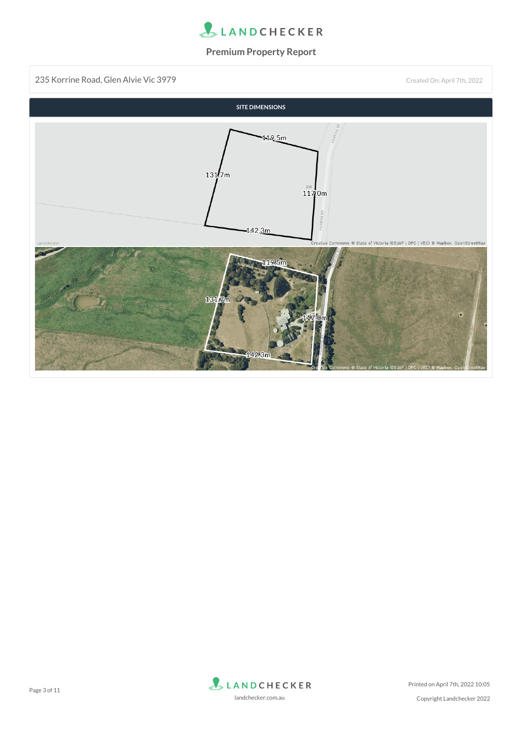

235 Korrine Road, Glen Alvie Vic 3979 Created On: April 7th, 2022



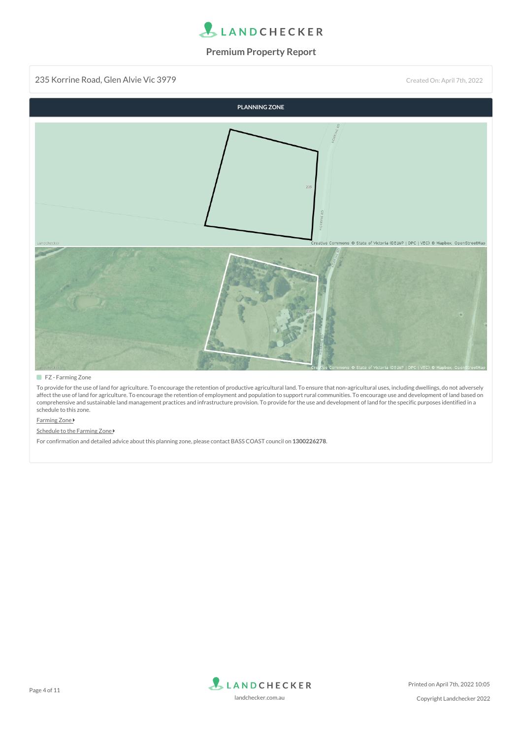

235 Korrine Road, Glen Alvie Vic 3979 Created On: April 7th, 2022



#### **FZ** - Farming Zone

To provide for the use of land for agriculture. To encourage the retention of productive agricultural land. To ensure that non-agricultural uses, including dwellings, do not adversely affect the use of land for agriculture. To encourage the retention of employment and population to support rural communities. To encourage use and development of land based on comprehensive and sustainable land management practices and infrastructure provision. To provide for the use and development of land for the specific purposes identified in a schedule to this zone.

#### **[Farming](https://planning-schemes.api.delwp.vic.gov.au/schemes/vpp/35_07.pdf) Zone**

#### [Schedule](https://planning-schemes.api.delwp.vic.gov.au/schemes/basscoast/ordinance/35_07s01_basc.pdf) to the Farming Zone

For confirmation and detailed advice about this planning zone, please contact BASS COAST council on **1300226278**.

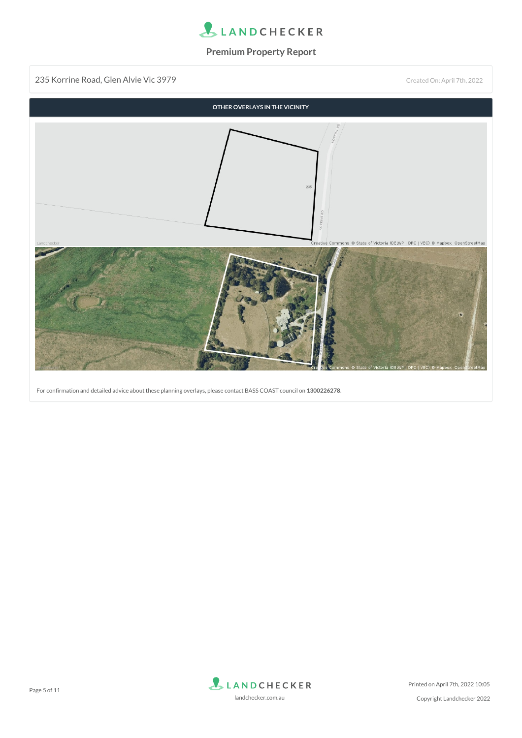

235 Korrine Road, Glen Alvie Vic 3979 Created On: April 7th, 2022



For confirmation and detailed advice about these planning overlays, please contact BASS COAST council on **1300226278**.

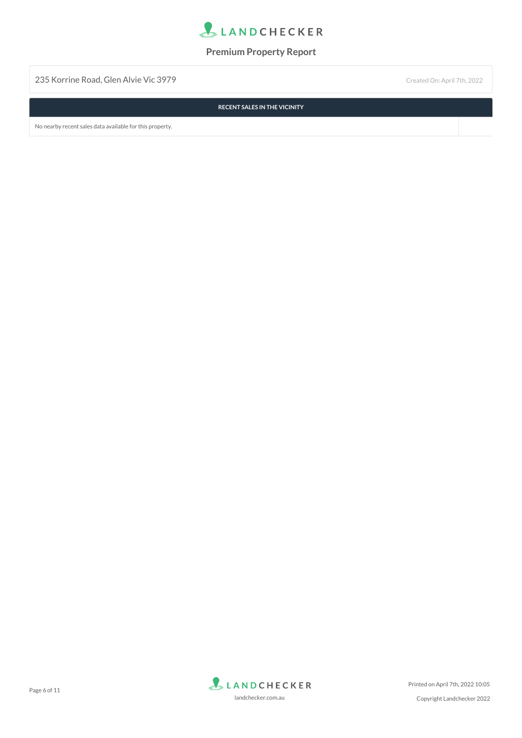

235 Korrine Road, Glen Alvie Vic 3979 Created On: April 7th, 2022

**RECENT SALES IN THE VICINITY**

No nearby recent sales data available for this property.

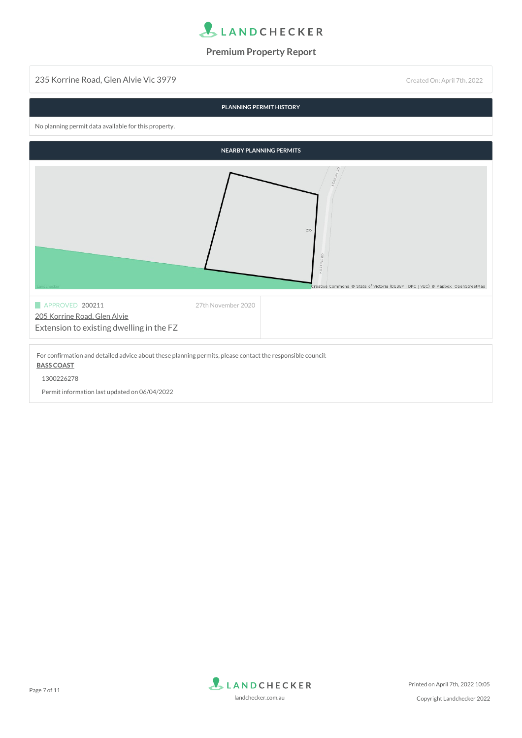

235 Korrine Road, Glen Alvie Vic 3979 Created On: April 7th, 2022

|                                                                                                                                 | PLANNING PERMIT HISTORY        |                                                                                                           |
|---------------------------------------------------------------------------------------------------------------------------------|--------------------------------|-----------------------------------------------------------------------------------------------------------|
| No planning permit data available for this property.                                                                            |                                |                                                                                                           |
|                                                                                                                                 | <b>NEARBY PLANNING PERMITS</b> |                                                                                                           |
|                                                                                                                                 |                                | 235<br><b>CORRINE</b><br>Creative Commons @ State of Victoria (DELWP   DPC   VEC) @ Mapbox, OpenStreetMap |
| APPROVED 200211<br>205 Korrine Road, Glen Alvie<br>Extension to existing dwelling in the FZ                                     | 27th November 2020             |                                                                                                           |
| For confirmation and detailed advice about these planning permits, please contact the responsible council:<br><b>BASS COAST</b> |                                |                                                                                                           |

1300226278

Permit information last updated on 06/04/2022

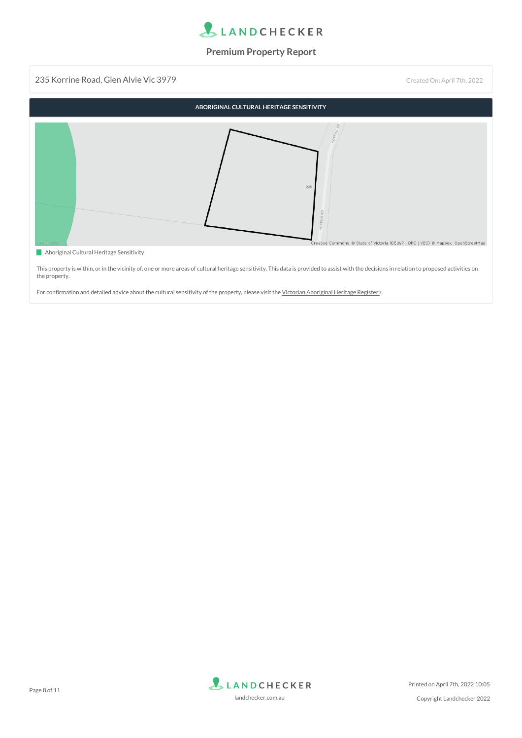

235 Korrine Road, Glen Alvie Vic 3979 Created On: April 7th, 2022 **ABORIGINAL CULTURAL HERITAGE SENSITIVITY**  $\overline{1}$ ative Commons © State of Victoria (DELWP | DPC | VEC) © Mapbox, OpenStreetMap

**Aboriginal Cultural Heritage Sensitivity** 

This property is within, or in the vicinity of, one or more areas of cultural heritage sensitivity. This data is provided to assist with the decisions in relation to proposed activities on the property.

For confirmation and detailed advice about the cultural sensitivity of the property, please visit the Victorian [Aboriginal](https://www.aboriginalvictoria.vic.gov.au/victorian-aboriginal-heritage-register) Heritage Register .

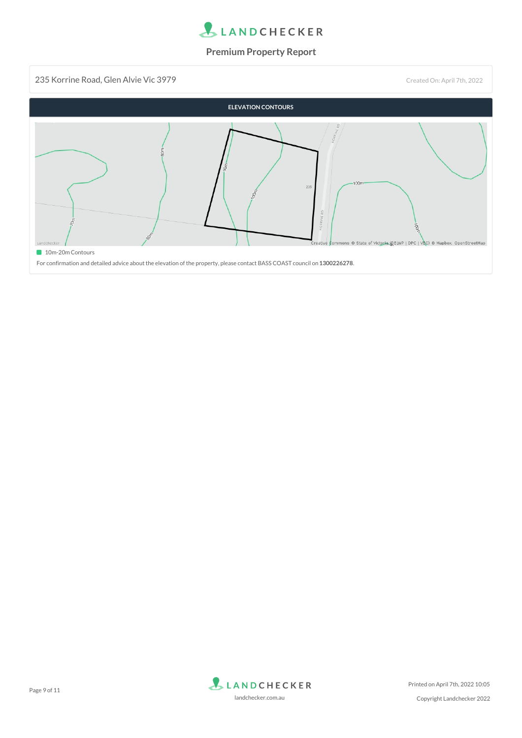

235 Korrine Road, Glen Alvie Vic 3979 Created On: April 7th, 2022



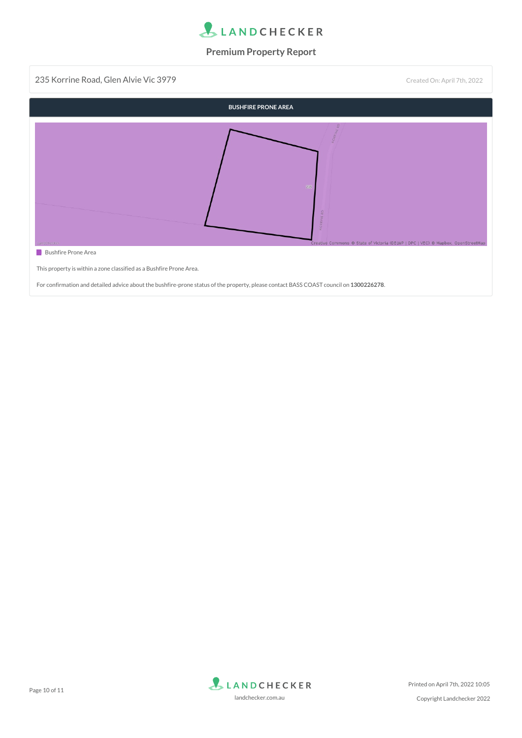

235 Korrine Road, Glen Alvie Vic 3979 Created On: April 7th, 2022